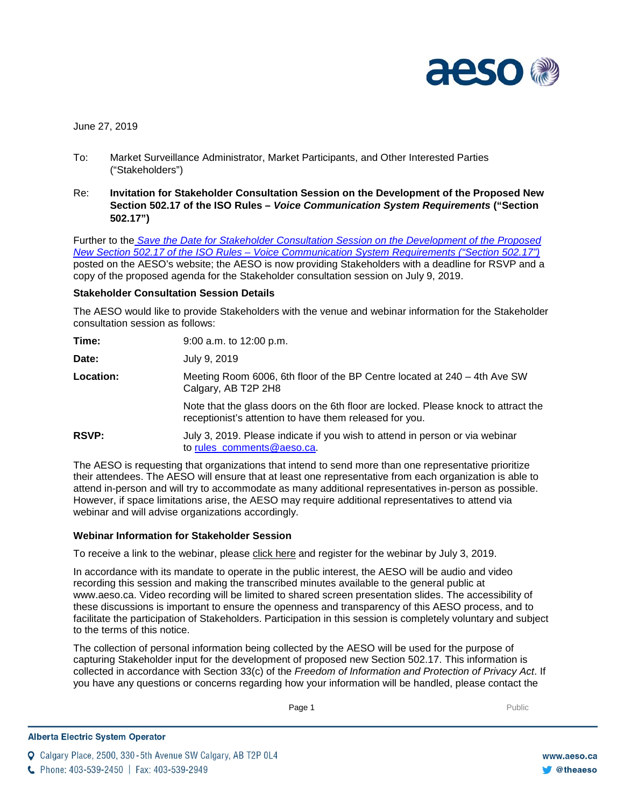

June 27, 2019

- To: Market Surveillance Administrator, Market Participants, and Other Interested Parties ("Stakeholders")
- Re: **Invitation for Stakeholder Consultation Session on the Development of the Proposed New Section 502.17 of the ISO Rules –** *Voice Communication System Requirements* **("Section 502.17")**

Further to the *[Save the Date for Stakeholder Consultation Session on the Development of the Proposed](https://www.aeso.ca/assets/Uploads/Stakeholder-Consultation-Session-Invitation-502.17.pdf)  New Section 502.17 of the ISO Rules – [Voice Communication System Requirements \("Section 502.17"\)](https://www.aeso.ca/assets/Uploads/Stakeholder-Consultation-Session-Invitation-502.17.pdf)* posted on the AESO's website; the AESO is now providing Stakeholders with a deadline for RSVP and a copy of the proposed agenda for the Stakeholder consultation session on July 9, 2019.

# **Stakeholder Consultation Session Details**

The AESO would like to provide Stakeholders with the venue and webinar information for the Stakeholder consultation session as follows:

| Time:        | 9:00 a.m. to 12:00 p.m.                                                                                                                       |
|--------------|-----------------------------------------------------------------------------------------------------------------------------------------------|
| Date:        | July 9, 2019                                                                                                                                  |
| Location:    | Meeting Room 6006, 6th floor of the BP Centre located at $240 - 4$ th Ave SW<br>Calgary, AB T2P 2H8                                           |
|              | Note that the glass doors on the 6th floor are locked. Please knock to attract the<br>receptionist's attention to have them released for you. |
| <b>RSVP:</b> | July 3, 2019. Please indicate if you wish to attend in person or via webinar<br>to rules comments@aeso.ca.                                    |

The AESO is requesting that organizations that intend to send more than one representative prioritize their attendees. The AESO will ensure that at least one representative from each organization is able to attend in-person and will try to accommodate as many additional representatives in-person as possible. However, if space limitations arise, the AESO may require additional representatives to attend via webinar and will advise organizations accordingly.

# **Webinar Information for Stakeholder Session**

To receive a link to the webinar, please [click here](https://attendee.gotowebinar.com/register/7232494428316911883) and register for the webinar by July 3, 2019.

In accordance with its mandate to operate in the public interest, the AESO will be audio and video recording this session and making the transcribed minutes available to the general public at [www.aeso.ca.](http://www.aeso.ca/) Video recording will be limited to shared screen presentation slides. The accessibility of these discussions is important to ensure the openness and transparency of this AESO process, and to facilitate the participation of Stakeholders. Participation in this session is completely voluntary and subject to the terms of this notice.

The collection of personal information being collected by the AESO will be used for the purpose of capturing Stakeholder input for the development of proposed new Section 502.17. This information is collected in accordance with Section 33(c) of the *Freedom of Information and Protection of Privacy Act*. If you have any questions or concerns regarding how your information will be handled, please contact the

Calgary Place, 2500, 330-5th Avenue SW Calgary, AB T2P 0L4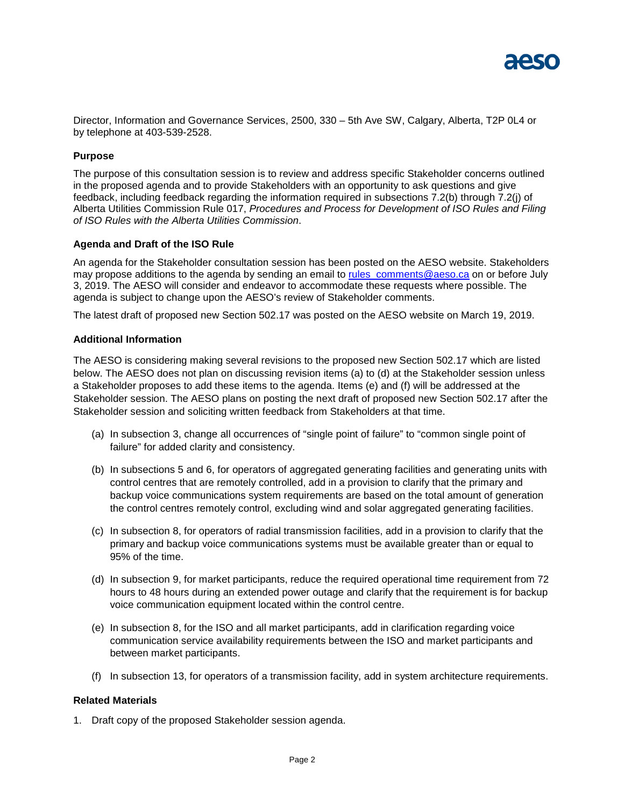

Director, Information and Governance Services, 2500, 330 – 5th Ave SW, Calgary, Alberta, T2P 0L4 or by telephone at 403-539-2528.

### **Purpose**

The purpose of this consultation session is to review and address specific Stakeholder concerns outlined in the proposed agenda and to provide Stakeholders with an opportunity to ask questions and give feedback, including feedback regarding the information required in subsections 7.2(b) through 7.2(j) of Alberta Utilities Commission Rule 017, *Procedures and Process for Development of ISO Rules and Filing of ISO Rules with the Alberta Utilities Commission*.

### **Agenda and Draft of the ISO Rule**

An agenda for the Stakeholder consultation session has been posted on the AESO website. Stakeholders may propose additions to the agenda by sending an email to rules comments@aeso.ca on or before July 3, 2019. The AESO will consider and endeavor to accommodate these requests where possible. The agenda is subject to change upon the AESO's review of Stakeholder comments.

The latest draft of proposed new Section 502.17 was posted on the AESO website on March 19, 2019.

#### **Additional Information**

The AESO is considering making several revisions to the proposed new Section 502.17 which are listed below. The AESO does not plan on discussing revision items (a) to (d) at the Stakeholder session unless a Stakeholder proposes to add these items to the agenda. Items (e) and (f) will be addressed at the Stakeholder session. The AESO plans on posting the next draft of proposed new Section 502.17 after the Stakeholder session and soliciting written feedback from Stakeholders at that time.

- (a) In subsection 3, change all occurrences of "single point of failure" to "common single point of failure" for added clarity and consistency.
- (b) In subsections 5 and 6, for operators of aggregated generating facilities and generating units with control centres that are remotely controlled, add in a provision to clarify that the primary and backup voice communications system requirements are based on the total amount of generation the control centres remotely control, excluding wind and solar aggregated generating facilities.
- (c) In subsection 8, for operators of radial transmission facilities, add in a provision to clarify that the primary and backup voice communications systems must be available greater than or equal to 95% of the time.
- (d) In subsection 9, for market participants, reduce the required operational time requirement from 72 hours to 48 hours during an extended power outage and clarify that the requirement is for backup voice communication equipment located within the control centre.
- (e) In subsection 8, for the ISO and all market participants, add in clarification regarding voice communication service availability requirements between the ISO and market participants and between market participants.
- (f) In subsection 13, for operators of a transmission facility, add in system architecture requirements.

### **Related Materials**

1. Draft copy of the proposed Stakeholder session agenda.